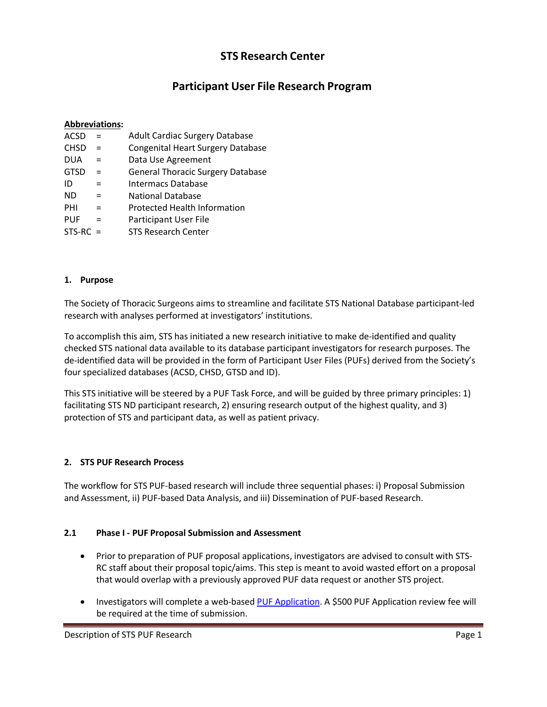## **STS Research Center**

# **Participant User File Research Program**

#### **Abbreviations:**

- $ACSD =$ Adult Cardiac Surgery Database
- $CHSD =$ Congenital Heart Surgery Database
- $DUA =$ Data Use Agreement
- $GTSD =$ General Thoracic Surgery Database
- $ID =$ Intermacs Database
- $ND =$ National Database
- $PHI =$ Protected Health Information
- $PUF =$ Participant User File
- $STS-RC =$ STS Research Center

#### **1. Purpose**

The Society of Thoracic Surgeons aims to streamline and facilitate STS National Database participant-led research with analyses performed at investigators' institutions.

To accomplish this aim, STS has initiated a new research initiative to make de-identified and quality checked STS national data available to its database participant investigators for research purposes. The de-identified data will be provided in the form of Participant User Files (PUFs) derived from the Society's four specialized databases (ACSD, CHSD, GTSD and ID).

This STS initiative will be steered by a PUF Task Force, and will be guided by three primary principles: 1) facilitating STS ND participant research, 2) ensuring research output of the highest quality, and 3) protection of STS and participant data, as well as patient privacy.

## **2. STS PUF Research Process**

The workflow for STS PUF-based research will include three sequential phases: i) Proposal Submission and Assessment, ii) PUF-based Data Analysis, and iii) Dissemination of PUF-based Research.

## **2.1 Phase I - PUF Proposal Submission and Assessment**

- Prior to preparation of PUF proposal applications, investigators are advised to consult with STS-RC staff about their proposal topic/aims. This step is meant to avoid wasted effort on a proposal that would overlap with a previously approved PUF data request or another STS project.
- Investigators will complete a web-based PUF [Application.](http://www.sts.org/forms/PUFApplication) A \$500 PUF Application review fee will be required at the time of submission.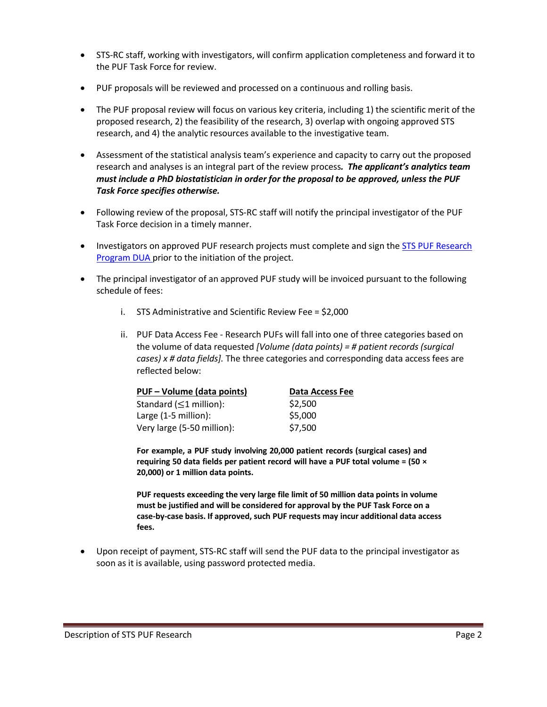- STS-RC staff, working with investigators, will confirm application completeness and forward it to the PUF Task Force for review.
- PUF proposals will be reviewed and processed on a continuous and rolling basis.
- The PUF proposal review will focus on various key criteria, including 1) the scientific merit of the proposed research, 2) the feasibility of the research, 3) overlap with ongoing approved STS research, and 4) the analytic resources available to the investigative team.
- Assessment of the statistical analysis team's experience and capacity to carry out the proposed research and analyses is an integral part of the review process*. The applicant's analytics team must include a PhD biostatistician in order for the proposal to be approved, unless the PUF Task Force specifies otherwise.*
- Following review of the proposal, STS-RC staff will notify the principal investigator of the PUF Task Force decision in a timely manner.
- Investigators on approved PUF research projects must complete and sign the **STS PUF [Research](http://www.sts.org/sites/default/files/documents/pdf/FINALFormofPUFDUA.pdf)** [Program DUA](http://www.sts.org/sites/default/files/documents/pdf/FINALFormofPUFDUA.pdf) prior to the initiation of the project.
- The principal investigator of an approved PUF study will be invoiced pursuant to the following schedule of fees:
	- i. STS Administrative and Scientific Review Fee = \$2,000
	- ii. PUF Data Access Fee Research PUFs will fall into one of three categories based on the volume of data requested *[Volume (data points) = # patient records (surgical cases) x # data fields].* The three categories and corresponding data access fees are reflected below:

| PUF - Volume (data points)    | Data Access Fee |
|-------------------------------|-----------------|
| Standard ( $\leq$ 1 million): | \$2.500         |
| Large (1-5 million):          | \$5,000         |
| Very large (5-50 million):    | \$7,500         |

**For example, a PUF study involving 20,000 patient records (surgical cases) and requiring 50 data fields per patient record will have a PUF total volume = (50 × 20,000) or 1 million data points.**

**PUF requests exceeding the very large file limit of 50 million data points in volume must be justified and will be considered for approval by the PUF Task Force on a case-by-case basis. If approved, such PUF requests may incur additional data access fees.**

• Upon receipt of payment, STS-RC staff will send the PUF data to the principal investigator as soon as it is available, using password protected media.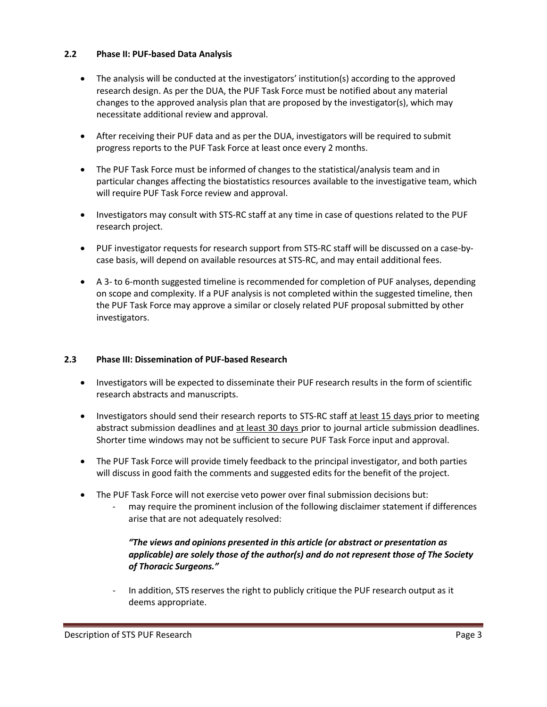#### **2.2 Phase II: PUF-based Data Analysis**

- The analysis will be conducted at the investigators' institution(s) according to the approved research design. As per the DUA, the PUF Task Force must be notified about any material changes to the approved analysis plan that are proposed by the investigator(s), which may necessitate additional review and approval.
- After receiving their PUF data and as per the DUA, investigators will be required to submit progress reports to the PUF Task Force at least once every 2 months.
- The PUF Task Force must be informed of changes to the statistical/analysis team and in particular changes affecting the biostatistics resources available to the investigative team, which will require PUF Task Force review and approval.
- Investigators may consult with STS-RC staff at any time in case of questions related to the PUF research project.
- PUF investigator requests for research support from STS-RC staff will be discussed on a case-bycase basis, will depend on available resources at STS-RC, and may entail additional fees.
- A 3- to 6-month suggested timeline is recommended for completion of PUF analyses, depending on scope and complexity. If a PUF analysis is not completed within the suggested timeline, then the PUF Task Force may approve a similar or closely related PUF proposal submitted by other investigators.

## **2.3 Phase III: Dissemination of PUF-based Research**

- Investigators will be expected to disseminate their PUF research results in the form of scientific research abstracts and manuscripts.
- Investigators should send their research reports to STS-RC staff at least 15 days prior to meeting abstract submission deadlines and at least 30 days prior to journal article submission deadlines. Shorter time windows may not be sufficient to secure PUF Task Force input and approval.
- The PUF Task Force will provide timely feedback to the principal investigator, and both parties will discuss in good faith the comments and suggested edits for the benefit of the project.
- The PUF Task Force will not exercise veto power over final submission decisions but:
	- may require the prominent inclusion of the following disclaimer statement if differences arise that are not adequately resolved:

## *"The views and opinions presented in this article (or abstract or presentation as applicable) are solely those of the author(s) and do not represent those of The Society of Thoracic Surgeons."*

In addition, STS reserves the right to publicly critique the PUF research output as it deems appropriate.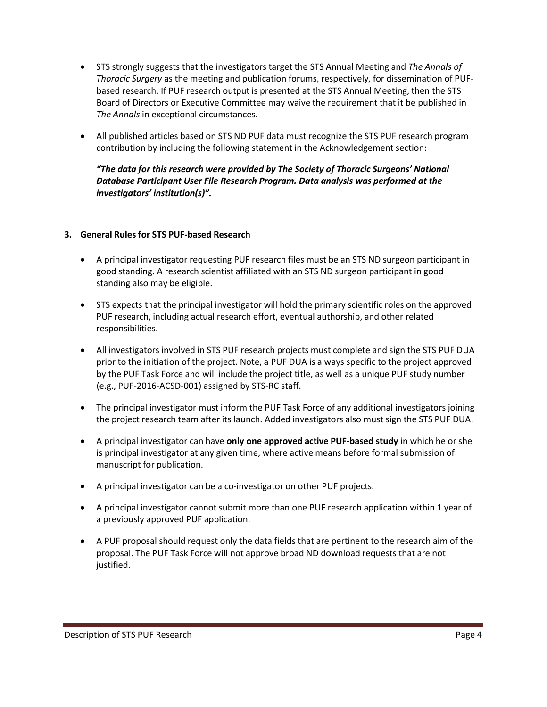- STS strongly suggests that the investigators target the STS Annual Meeting and *The Annals of Thoracic Surgery* as the meeting and publication forums, respectively, for dissemination of PUFbased research. If PUF research output is presented at the STS Annual Meeting, then the STS Board of Directors or Executive Committee may waive the requirement that it be published in *The Annals* in exceptional circumstances.
- All published articles based on STS ND PUF data must recognize the STS PUF research program contribution by including the following statement in the Acknowledgement section:

*"The data for this research were provided by The Society of Thoracic Surgeons' National Database Participant User File Research Program. Data analysis was performed at the investigators' institution(s)".*

## **3. General Rules for STS PUF-based Research**

- A principal investigator requesting PUF research files must be an STS ND surgeon participant in good standing. A research scientist affiliated with an STS ND surgeon participant in good standing also may be eligible.
- STS expects that the principal investigator will hold the primary scientific roles on the approved PUF research, including actual research effort, eventual authorship, and other related responsibilities.
- All investigators involved in STS PUF research projects must complete and sign the STS PUF DUA prior to the initiation of the project. Note, a PUF DUA is always specific to the project approved by the PUF Task Force and will include the project title, as well as a unique PUF study number (e.g., PUF-2016-ACSD-001) assigned by STS-RC staff.
- The principal investigator must inform the PUF Task Force of any additional investigators joining the project research team after its launch. Added investigators also must sign the STS PUF DUA.
- A principal investigator can have **only one approved active PUF-based study** in which he or she is principal investigator at any given time, where active means before formal submission of manuscript for publication.
- A principal investigator can be a co-investigator on other PUF projects.
- A principal investigator cannot submit more than one PUF research application within 1 year of a previously approved PUF application.
- A PUF proposal should request only the data fields that are pertinent to the research aim of the proposal. The PUF Task Force will not approve broad ND download requests that are not justified.